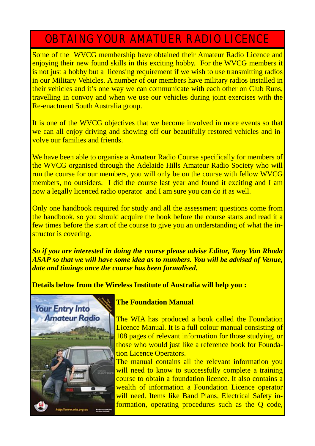# OBTAING YOUR AMATUER RADIO LICENCE

Some of the WVCG membership have obtained their Amateur Radio Licence and enjoying their new found skills in this exciting hobby. For the WVCG members it is not just a hobby but a licensing requirement if we wish to use transmitting radios in our Military Vehicles. A number of our members have military radios installed in their vehicles and it's one way we can communicate with each other on Club Runs, travelling in convoy and when we use our vehicles during joint exercises with the Re-enactment South Australia group.

It is one of the WVCG objectives that we become involved in more events so that we can all enjoy driving and showing off our beautifully restored vehicles and involve our families and friends.

We have been able to organise a Amateur Radio Course specifically for members of the WVCG organised through the Adelaide Hills Amateur Radio Society who will run the course for our members, you will only be on the course with fellow WVCG members, no outsiders. I did the course last year and found it exciting and I am now a legally licenced radio operator and I am sure you can do it as well.

Only one handbook required for study and all the assessment questions come from the handbook, so you should acquire the book before the course starts and read it a few times before the start of the course to give you an understanding of what the instructor is covering.

*So if you are interested in doing the course please advise Editor, Tony Van Rhoda ASAP so that we will have some idea as to numbers. You will be advised of Venue, date and timings once the course has been formalised.* 

**Details below from the Wireless Institute of Australia will help you :** 



## **The Foundation Manual**

The WIA has produced a book called the Foundation Licence Manual. It is a full colour manual consisting of 108 pages of relevant information for those studying, or those who would just like a reference book for Foundation Licence Operators.

The manual contains all the relevant information you will need to know to successfully complete a training course to obtain a foundation licence. It also contains a wealth of information a Foundation Licence operator will need. Items like Band Plans, Electrical Safety information, operating procedures such as the Q code,